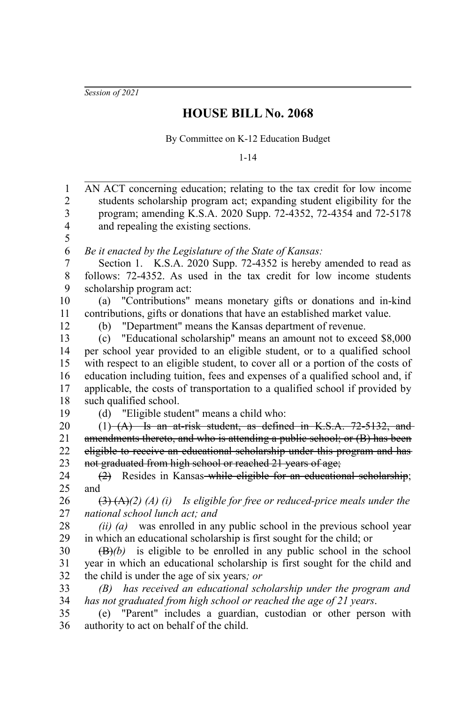*Session of 2021*

## **HOUSE BILL No. 2068**

By Committee on K-12 Education Budget

1-14

| $\mathbf{1}$             | AN ACT concerning education; relating to the tax credit for low income                                           |
|--------------------------|------------------------------------------------------------------------------------------------------------------|
| $\overline{c}$           | students scholarship program act; expanding student eligibility for the                                          |
| 3                        | program; amending K.S.A. 2020 Supp. 72-4352, 72-4354 and 72-5178                                                 |
| $\overline{\mathcal{L}}$ | and repealing the existing sections.                                                                             |
| 5                        |                                                                                                                  |
| 6                        | Be it enacted by the Legislature of the State of Kansas:                                                         |
| 7                        | Section 1. K.S.A. 2020 Supp. 72-4352 is hereby amended to read as                                                |
| 8                        | follows: 72-4352. As used in the tax credit for low income students                                              |
| 9                        | scholarship program act:                                                                                         |
| 10                       | "Contributions" means monetary gifts or donations and in-kind<br>(a)                                             |
| 11                       | contributions, gifts or donations that have an established market value.                                         |
| 12                       | "Department" means the Kansas department of revenue.<br>(b)                                                      |
| 13                       | "Educational scholarship" means an amount not to exceed \$8,000<br>(c)                                           |
| 14                       | per school year provided to an eligible student, or to a qualified school                                        |
| 15                       | with respect to an eligible student, to cover all or a portion of the costs of                                   |
| 16                       | education including tuition, fees and expenses of a qualified school and, if                                     |
| 17                       | applicable, the costs of transportation to a qualified school if provided by                                     |
| 18                       | such qualified school.                                                                                           |
| 19                       | (d) "Eligible student" means a child who:                                                                        |
| 20                       | $(1)$ $(A)$ Is an at-risk student, as defined in K.S.A. 72-5132, and                                             |
| 21                       | amendments thereto, and who is attending a public school; or (B) has been                                        |
| 22                       | eligible to receive an educational scholarship under this program and has-                                       |
| 23                       | not graduated from high school or reached 21 years of age;                                                       |
| 24                       | Resides in Kansas-while eligible for an educational scholarship;<br>(2)                                          |
| 25                       | and                                                                                                              |
| 26                       | $\left(\frac{3}{2}\right)\left(\frac{A}{2}\right)$ (A) (i) Is eligible for free or reduced-price meals under the |
| 27                       | national school lunch act; and                                                                                   |
| 28                       | $(ii)$ (a) was enrolled in any public school in the previous school year                                         |
| 29                       | in which an educational scholarship is first sought for the child; or                                            |
| 30                       | $(\overline{B})$ (b) is eligible to be enrolled in any public school in the school                               |
| 31                       | year in which an educational scholarship is first sought for the child and                                       |
| 32                       | the child is under the age of six years; or                                                                      |
| 33                       | (B) has received an educational scholarship under the program and                                                |
| 34                       | has not graduated from high school or reached the age of 21 years.                                               |
| 35                       | (e) "Parent" includes a guardian, custodian or other person with                                                 |
| 36                       | authority to act on behalf of the child.                                                                         |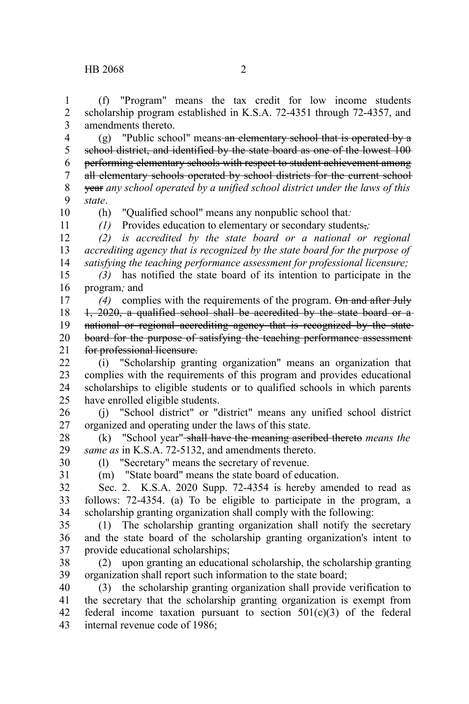(f) "Program" means the tax credit for low income students scholarship program established in K.S.A. 72-4351 through 72-4357, and amendments thereto. 1 2 3

(g) "Public school" means an elementary school that is operated by a school district, and identified by the state board as one of the lowest 100 performing elementary schools with respect to student achievement among all elementary schools operated by school districts for the current school year *any school operated by a unified school district under the laws of this state*. 4 5 6 7 8 9

10 11

(h) "Qualified school" means any nonpublic school that*:*

*(1)* Provides education to elementary or secondary students,*;*

*(2) is accredited by the state board or a national or regional accrediting agency that is recognized by the state board for the purpose of satisfying the teaching performance assessment for professional licensure;* 12 13 14

*(3)* has notified the state board of its intention to participate in the program*;* and 15 16

*(4)* complies with the requirements of the program. On and after July 1, 2020, a qualified school shall be accredited by the state board or a national or regional accrediting agency that is recognized by the state board for the purpose of satisfying the teaching performance assessment for professional licensure. 17 18 19 20 21

(i) "Scholarship granting organization" means an organization that complies with the requirements of this program and provides educational scholarships to eligible students or to qualified schools in which parents have enrolled eligible students.  $22$ 23 24 25

(j) "School district" or "district" means any unified school district organized and operating under the laws of this state. 26 27

(k) "School year" shall have the meaning ascribed thereto *means the same as* in K.S.A. 72-5132, and amendments thereto. 28 29

30 31 (l) "Secretary" means the secretary of revenue. (m) "State board" means the state board of education.

Sec. 2. K.S.A. 2020 Supp. 72-4354 is hereby amended to read as follows: 72-4354. (a) To be eligible to participate in the program, a scholarship granting organization shall comply with the following: 32 33 34

(1) The scholarship granting organization shall notify the secretary and the state board of the scholarship granting organization's intent to provide educational scholarships; 35 36 37

(2) upon granting an educational scholarship, the scholarship granting organization shall report such information to the state board; 38 39

(3) the scholarship granting organization shall provide verification to the secretary that the scholarship granting organization is exempt from federal income taxation pursuant to section  $501(c)(3)$  of the federal internal revenue code of 1986; 40 41 42 43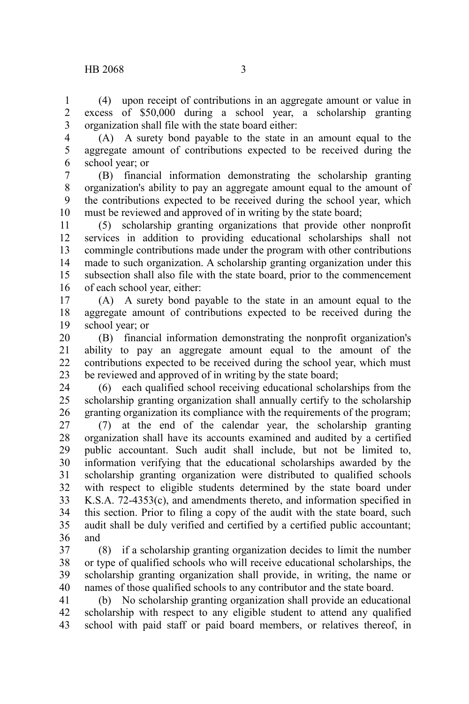(4) upon receipt of contributions in an aggregate amount or value in excess of \$50,000 during a school year, a scholarship granting organization shall file with the state board either: 1 2 3

- 4
- 5 6

(A) A surety bond payable to the state in an amount equal to the aggregate amount of contributions expected to be received during the school year; or

(B) financial information demonstrating the scholarship granting organization's ability to pay an aggregate amount equal to the amount of the contributions expected to be received during the school year, which must be reviewed and approved of in writing by the state board; 7 8 9 10

(5) scholarship granting organizations that provide other nonprofit services in addition to providing educational scholarships shall not commingle contributions made under the program with other contributions made to such organization. A scholarship granting organization under this subsection shall also file with the state board, prior to the commencement of each school year, either: 11 12 13 14 15 16

(A) A surety bond payable to the state in an amount equal to the aggregate amount of contributions expected to be received during the school year; or 17 18 19

(B) financial information demonstrating the nonprofit organization's ability to pay an aggregate amount equal to the amount of the contributions expected to be received during the school year, which must be reviewed and approved of in writing by the state board; 20 21 22 23

(6) each qualified school receiving educational scholarships from the scholarship granting organization shall annually certify to the scholarship granting organization its compliance with the requirements of the program; 24 25 26

(7) at the end of the calendar year, the scholarship granting organization shall have its accounts examined and audited by a certified public accountant. Such audit shall include, but not be limited to, information verifying that the educational scholarships awarded by the scholarship granting organization were distributed to qualified schools with respect to eligible students determined by the state board under K.S.A. 72-4353(c), and amendments thereto, and information specified in this section. Prior to filing a copy of the audit with the state board, such audit shall be duly verified and certified by a certified public accountant; and 27 28 29 30 31 32 33 34 35 36

(8) if a scholarship granting organization decides to limit the number or type of qualified schools who will receive educational scholarships, the scholarship granting organization shall provide, in writing, the name or names of those qualified schools to any contributor and the state board. 37 38 39 40

(b) No scholarship granting organization shall provide an educational scholarship with respect to any eligible student to attend any qualified school with paid staff or paid board members, or relatives thereof, in 41 42 43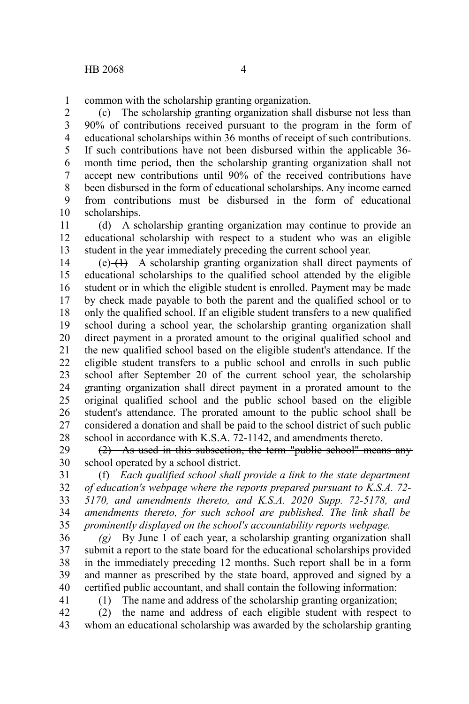common with the scholarship granting organization. 1

(c) The scholarship granting organization shall disburse not less than 90% of contributions received pursuant to the program in the form of educational scholarships within 36 months of receipt of such contributions. If such contributions have not been disbursed within the applicable 36 month time period, then the scholarship granting organization shall not accept new contributions until 90% of the received contributions have been disbursed in the form of educational scholarships. Any income earned from contributions must be disbursed in the form of educational scholarships. 2 3 4 5 6 7 8 9 10

(d) A scholarship granting organization may continue to provide an educational scholarship with respect to a student who was an eligible student in the year immediately preceding the current school year. 11 12 13

 $(e)$  (e)  $(1)$  A scholarship granting organization shall direct payments of educational scholarships to the qualified school attended by the eligible student or in which the eligible student is enrolled. Payment may be made by check made payable to both the parent and the qualified school or to only the qualified school. If an eligible student transfers to a new qualified school during a school year, the scholarship granting organization shall direct payment in a prorated amount to the original qualified school and the new qualified school based on the eligible student's attendance. If the eligible student transfers to a public school and enrolls in such public school after September 20 of the current school year, the scholarship granting organization shall direct payment in a prorated amount to the original qualified school and the public school based on the eligible student's attendance. The prorated amount to the public school shall be considered a donation and shall be paid to the school district of such public school in accordance with K.S.A. 72-1142, and amendments thereto. 14 15 16 17 18 19 20 21 22 23 24 25 26 27 28

(2) As used in this subsection, the term "public school" means any school operated by a school district. 29 30

(f) *Each qualified school shall provide a link to the state department of education's webpage where the reports prepared pursuant to K.S.A. 72- 5170, and amendments thereto, and K.S.A. 2020 Supp. 72-5178, and amendments thereto, for such school are published. The link shall be prominently displayed on the school's accountability reports webpage.* 31 32 33 34 35

*(g)* By June 1 of each year, a scholarship granting organization shall submit a report to the state board for the educational scholarships provided in the immediately preceding 12 months. Such report shall be in a form and manner as prescribed by the state board, approved and signed by a certified public accountant, and shall contain the following information: 36 37 38 39 40

41

(1) The name and address of the scholarship granting organization;

(2) the name and address of each eligible student with respect to whom an educational scholarship was awarded by the scholarship granting 42 43